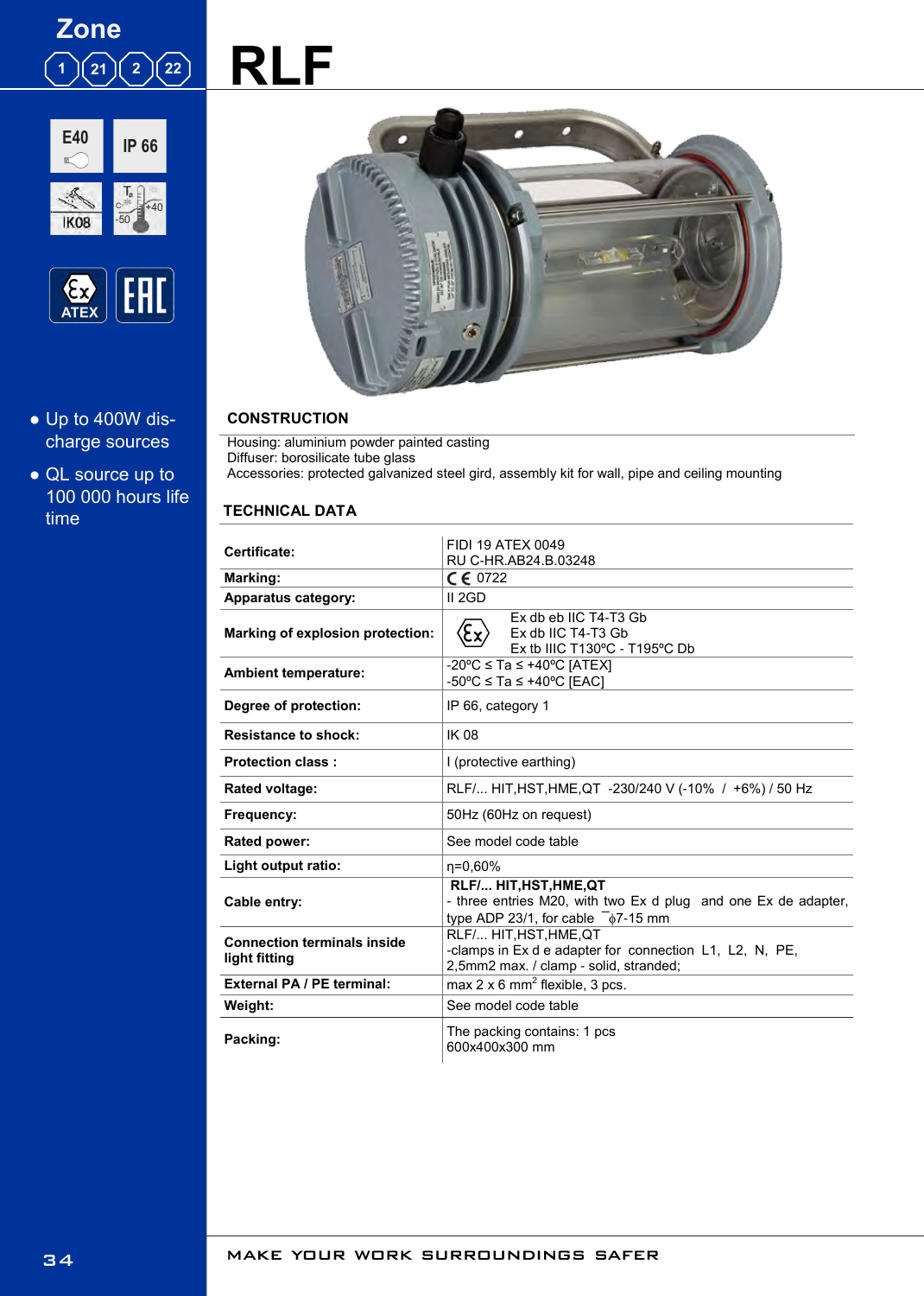





- Up to 400W discharge sources
- QL source up to 100 000 hours life time



## **CONSTRUCTION**

Housing: aluminium powder painted casting Diffuser: borosilicate tube glass Accessories: protected galvanized steel gird, assembly kit for wall, pipe and ceiling mounting

#### **TECHNICAL DATA**

l. l,

l,

| Certificate:                                        | FIDI 19 ATEX 0049<br>RU C-HR.AB24.B.03248                                                                                               |  |  |  |  |  |
|-----------------------------------------------------|-----------------------------------------------------------------------------------------------------------------------------------------|--|--|--|--|--|
| Marking:                                            | $C \in 0722$                                                                                                                            |  |  |  |  |  |
| <b>Apparatus category:</b>                          | II 2GD                                                                                                                                  |  |  |  |  |  |
| Marking of explosion protection:                    | Ex db eb IIC T4-T3 Gb<br>$\langle \xi_{\underline{x}} \rangle$<br>Ex db IIC T4-T3 Gb<br>Ex tb IIIC T130°C - T195°C Db                   |  |  |  |  |  |
| <b>Ambient temperature:</b>                         | $-20^{\circ}$ C $\leq$ Ta $\leq$ +40°C IATEXI<br>$-50^{\circ}$ C ≤ Ta ≤ +40°C [EAC]                                                     |  |  |  |  |  |
| Degree of protection:                               | IP 66, category 1                                                                                                                       |  |  |  |  |  |
| <b>Resistance to shock:</b>                         | <b>IK 08</b>                                                                                                                            |  |  |  |  |  |
| <b>Protection class:</b>                            | I (protective earthing)                                                                                                                 |  |  |  |  |  |
| Rated voltage:                                      | RLF/ HIT, HST, HME, QT -230/240 V (-10% / +6%) / 50 Hz                                                                                  |  |  |  |  |  |
| Frequency:                                          | 50Hz (60Hz on request)                                                                                                                  |  |  |  |  |  |
| Rated power:                                        | See model code table                                                                                                                    |  |  |  |  |  |
| Light output ratio:                                 | n=0,60%                                                                                                                                 |  |  |  |  |  |
| Cable entry:                                        | RLF/ HIT, HST, HME, QT<br>- three entries M20, with two Ex d plug and one Ex de adapter,<br>type ADP 23/1, for cable $\sqrt{-67-15}$ mm |  |  |  |  |  |
| <b>Connection terminals inside</b><br>light fitting | RLF/ HIT, HST, HME, QT<br>-clamps in Ex d e adapter for connection L1, L2, N, PE,<br>2,5mm2 max. / clamp - solid, stranded;             |  |  |  |  |  |
| <b>External PA / PE terminal:</b>                   | max $2 \times 6$ mm <sup>2</sup> flexible, 3 pcs.                                                                                       |  |  |  |  |  |
| Weight:                                             | See model code table                                                                                                                    |  |  |  |  |  |
| Packing:                                            | The packing contains: 1 pcs<br>600x400x300 mm                                                                                           |  |  |  |  |  |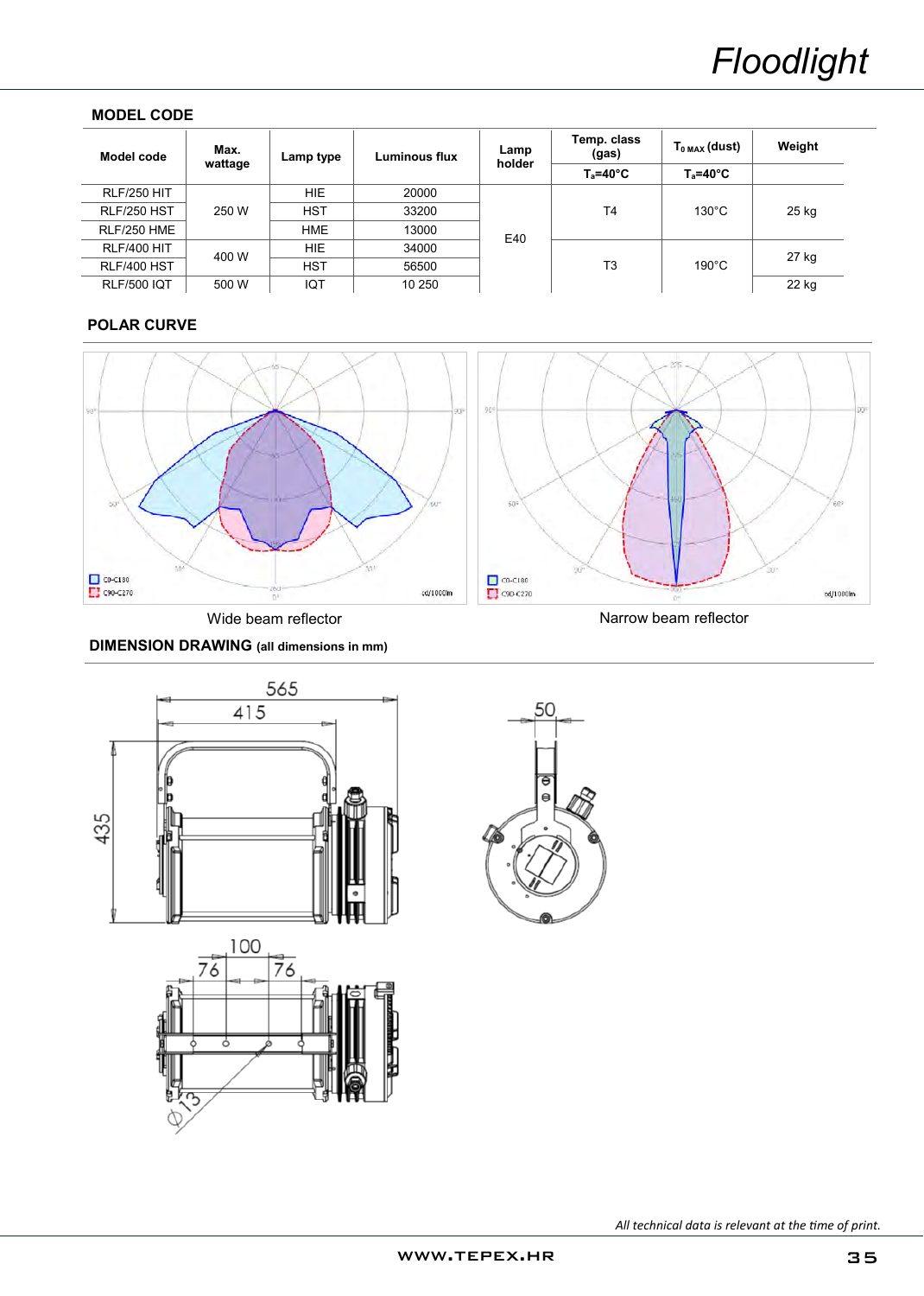## **MODEL CODE**

| Model code         | Max.<br>wattage | Lamp type  | Luminous flux | Lamp<br>holder | Temp. class<br>(gas) | $T_{0\,MAX}$ (dust) | Weight |
|--------------------|-----------------|------------|---------------|----------------|----------------------|---------------------|--------|
|                    |                 |            |               |                | $T_a = 40^{\circ}C$  | $T_a = 40^{\circ}C$ |        |
| <b>RLF/250 HIT</b> | 250 W           | HIE.       | 20000         |                | T4                   | $130^{\circ}$ C     | 25 kg  |
| RLF/250 HST        |                 | <b>HST</b> | 33200         |                |                      |                     |        |
| RLF/250 HME        |                 | <b>HME</b> | 13000         | E40            |                      |                     |        |
| <b>RLF/400 HIT</b> | 400 W           | <b>HIE</b> | 34000         |                | T3                   | $190^{\circ}$ C     | 27 kg  |
| RLF/400 HST        |                 | <b>HST</b> | 56500         |                |                      |                     |        |
| <b>RLF/500 IQT</b> | 500 W           | IQT        | 10 250        |                |                      |                     | 22 kg  |

# **POLAR CURVE**







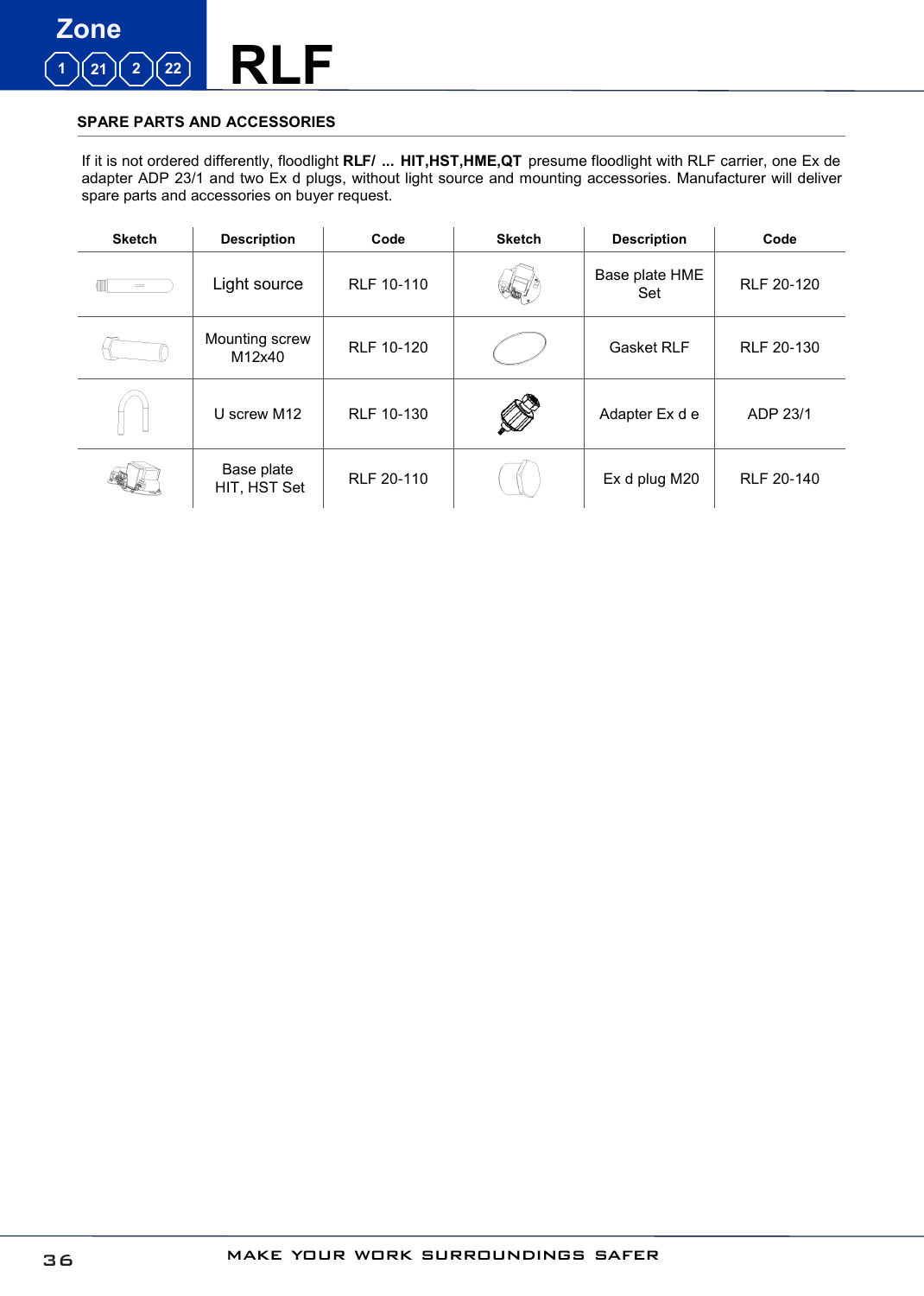

### **SPARE PARTS AND ACCESSORIES**

If it is not ordered differently, floodlight **RLF/ ... HIT,HST,HME,QT** presume floodlight with RLF carrier, one Ex de adapter ADP 23/1 and two Ex d plugs, without light source and mounting accessories. Manufacturer will deliver spare parts and accessories on buyer request.

| <b>Sketch</b> | <b>Description</b>         | Code              | <b>Sketch</b> | <b>Description</b>    | Code              |
|---------------|----------------------------|-------------------|---------------|-----------------------|-------------------|
| $\qquad$      | Light source               | RLF 10-110        |               | Base plate HME<br>Set | <b>RLF 20-120</b> |
|               | Mounting screw<br>M12x40   | RLF 10-120        |               | <b>Gasket RLF</b>     | RLF 20-130        |
|               | U screw M12                | RLF 10-130        |               | Adapter Ex d e        | ADP 23/1          |
|               | Base plate<br>HIT, HST Set | <b>RLF 20-110</b> |               | Ex d plug M20         | RLF 20-140        |